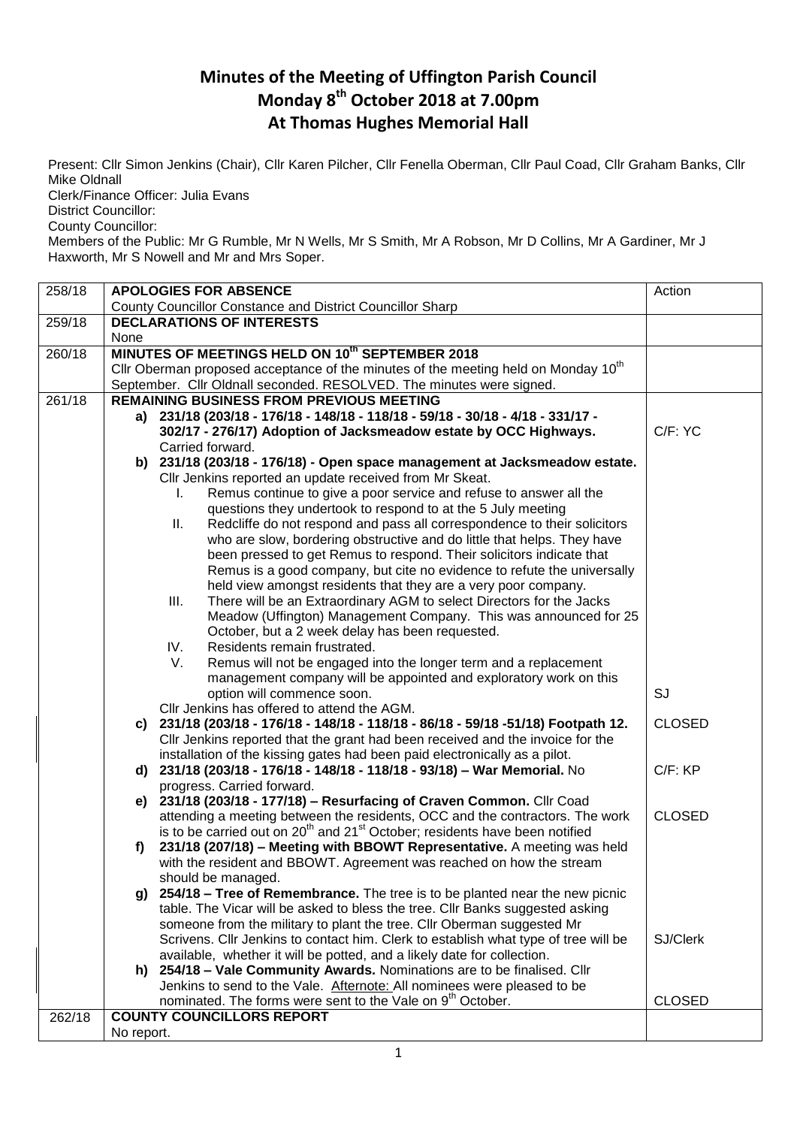## **Minutes of the Meeting of Uffington Parish Council Monday 8 th October 2018 at 7.00pm At Thomas Hughes Memorial Hall**

Present: Cllr Simon Jenkins (Chair), Cllr Karen Pilcher, Cllr Fenella Oberman, Cllr Paul Coad, Cllr Graham Banks, Cllr Mike Oldnall

Clerk/Finance Officer: Julia Evans

District Councillor:

County Councillor:

Members of the Public: Mr G Rumble, Mr N Wells, Mr S Smith, Mr A Robson, Mr D Collins, Mr A Gardiner, Mr J Haxworth, Mr S Nowell and Mr and Mrs Soper.

| 258/18 | <b>APOLOGIES FOR ABSENCE</b>                                                                                                                                 | Action        |
|--------|--------------------------------------------------------------------------------------------------------------------------------------------------------------|---------------|
|        | <b>County Councillor Constance and District Councillor Sharp</b>                                                                                             |               |
| 259/18 | <b>DECLARATIONS OF INTERESTS</b>                                                                                                                             |               |
|        | None                                                                                                                                                         |               |
| 260/18 | MINUTES OF MEETINGS HELD ON 10th SEPTEMBER 2018                                                                                                              |               |
|        | Cllr Oberman proposed acceptance of the minutes of the meeting held on Monday 10 <sup>th</sup>                                                               |               |
|        | September. Cllr Oldnall seconded. RESOLVED. The minutes were signed.                                                                                         |               |
| 261/18 | <b>REMAINING BUSINESS FROM PREVIOUS MEETING</b>                                                                                                              |               |
|        | a) 231/18 (203/18 - 176/18 - 148/18 - 118/18 - 59/18 - 30/18 - 4/18 - 331/17 -                                                                               |               |
|        | 302/17 - 276/17) Adoption of Jacksmeadow estate by OCC Highways.                                                                                             | C/F: YC       |
|        | Carried forward.                                                                                                                                             |               |
|        | b) 231/18 (203/18 - 176/18) - Open space management at Jacksmeadow estate.                                                                                   |               |
|        | Cllr Jenkins reported an update received from Mr Skeat.                                                                                                      |               |
|        | Remus continue to give a poor service and refuse to answer all the<br>I.                                                                                     |               |
|        | questions they undertook to respond to at the 5 July meeting                                                                                                 |               |
|        | Redcliffe do not respond and pass all correspondence to their solicitors<br>Ш.                                                                               |               |
|        | who are slow, bordering obstructive and do little that helps. They have                                                                                      |               |
|        | been pressed to get Remus to respond. Their solicitors indicate that                                                                                         |               |
|        | Remus is a good company, but cite no evidence to refute the universally                                                                                      |               |
|        | held view amongst residents that they are a very poor company.                                                                                               |               |
|        | There will be an Extraordinary AGM to select Directors for the Jacks<br>III.                                                                                 |               |
|        | Meadow (Uffington) Management Company. This was announced for 25                                                                                             |               |
|        | October, but a 2 week delay has been requested.                                                                                                              |               |
|        | Residents remain frustrated.<br>IV.                                                                                                                          |               |
|        | V.<br>Remus will not be engaged into the longer term and a replacement                                                                                       |               |
|        | management company will be appointed and exploratory work on this                                                                                            |               |
|        | option will commence soon.                                                                                                                                   | SJ            |
|        | Cllr Jenkins has offered to attend the AGM.                                                                                                                  |               |
|        | 231/18 (203/18 - 176/18 - 148/18 - 118/18 - 86/18 - 59/18 - 51/18) Footpath 12.<br>C)                                                                        | <b>CLOSED</b> |
|        | Cllr Jenkins reported that the grant had been received and the invoice for the<br>installation of the kissing gates had been paid electronically as a pilot. |               |
|        | d) 231/18 (203/18 - 176/18 - 148/18 - 118/18 - 93/18) - War Memorial. No                                                                                     | C/F: KP       |
|        | progress. Carried forward.                                                                                                                                   |               |
|        | 231/18 (203/18 - 177/18) - Resurfacing of Craven Common. Cllr Coad<br>e)                                                                                     |               |
|        | attending a meeting between the residents, OCC and the contractors. The work                                                                                 | <b>CLOSED</b> |
|        | is to be carried out on 20 <sup>th</sup> and 21 <sup>st</sup> October; residents have been notified                                                          |               |
|        | 231/18 (207/18) - Meeting with BBOWT Representative. A meeting was held<br>f)                                                                                |               |
|        | with the resident and BBOWT. Agreement was reached on how the stream                                                                                         |               |
|        | should be managed.                                                                                                                                           |               |
|        | 254/18 - Tree of Remembrance. The tree is to be planted near the new picnic<br>g)                                                                            |               |
|        | table. The Vicar will be asked to bless the tree. Cllr Banks suggested asking                                                                                |               |
|        | someone from the military to plant the tree. Cllr Oberman suggested Mr                                                                                       |               |
|        | Scrivens. Cllr Jenkins to contact him. Clerk to establish what type of tree will be                                                                          | SJ/Clerk      |
|        | available, whether it will be potted, and a likely date for collection.                                                                                      |               |
|        | h) 254/18 - Vale Community Awards. Nominations are to be finalised. Cllr                                                                                     |               |
|        | Jenkins to send to the Vale. Afternote: All nominees were pleased to be                                                                                      |               |
|        | nominated. The forms were sent to the Vale on 9 <sup>th</sup> October.                                                                                       | <b>CLOSED</b> |
| 262/18 | <b>COUNTY COUNCILLORS REPORT</b>                                                                                                                             |               |
|        | No report.                                                                                                                                                   |               |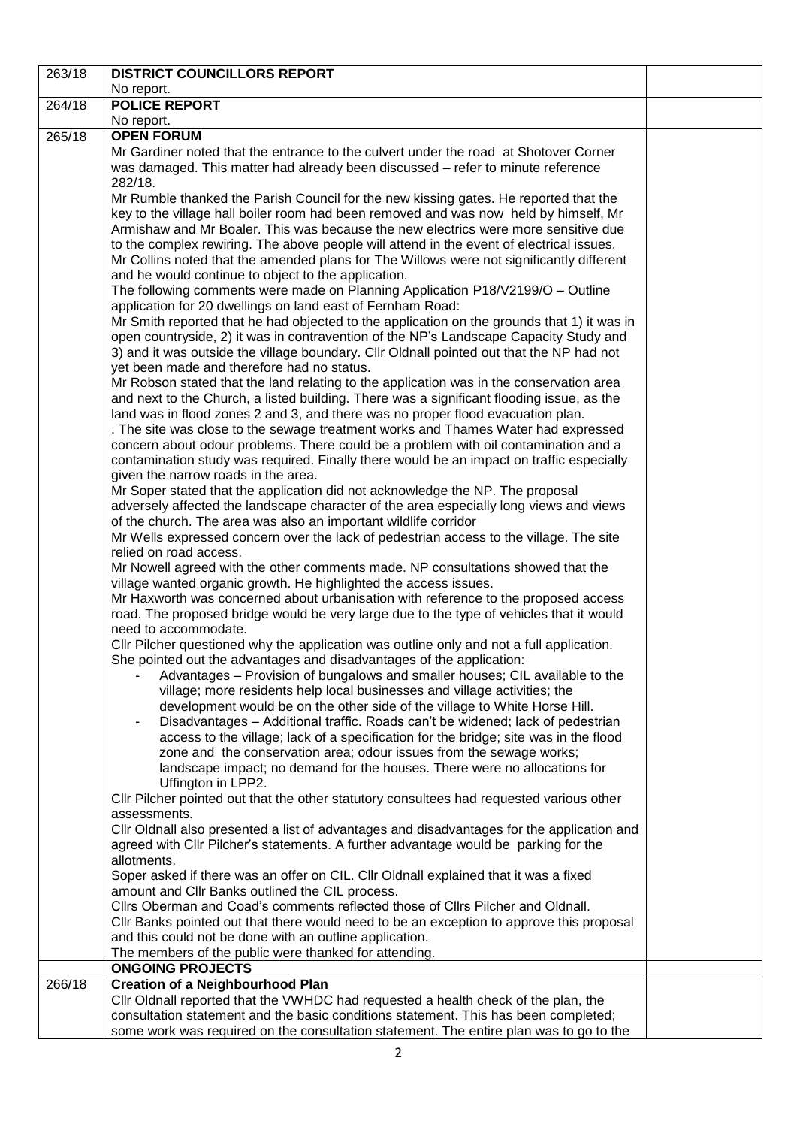| 263/18 | <b>DISTRICT COUNCILLORS REPORT</b>                                                                                                                                                   |  |
|--------|--------------------------------------------------------------------------------------------------------------------------------------------------------------------------------------|--|
|        | No report.                                                                                                                                                                           |  |
| 264/18 | <b>POLICE REPORT</b>                                                                                                                                                                 |  |
|        | No report.                                                                                                                                                                           |  |
| 265/18 | <b>OPEN FORUM</b>                                                                                                                                                                    |  |
|        | Mr Gardiner noted that the entrance to the culvert under the road at Shotover Corner                                                                                                 |  |
|        | was damaged. This matter had already been discussed – refer to minute reference                                                                                                      |  |
|        | 282/18.                                                                                                                                                                              |  |
|        | Mr Rumble thanked the Parish Council for the new kissing gates. He reported that the                                                                                                 |  |
|        | key to the village hall boiler room had been removed and was now held by himself, Mr                                                                                                 |  |
|        | Armishaw and Mr Boaler. This was because the new electrics were more sensitive due                                                                                                   |  |
|        | to the complex rewiring. The above people will attend in the event of electrical issues.<br>Mr Collins noted that the amended plans for The Willows were not significantly different |  |
|        | and he would continue to object to the application.                                                                                                                                  |  |
|        | The following comments were made on Planning Application P18/V2199/O - Outline                                                                                                       |  |
|        | application for 20 dwellings on land east of Fernham Road:                                                                                                                           |  |
|        | Mr Smith reported that he had objected to the application on the grounds that 1) it was in                                                                                           |  |
|        | open countryside, 2) it was in contravention of the NP's Landscape Capacity Study and                                                                                                |  |
|        | 3) and it was outside the village boundary. Cllr Oldnall pointed out that the NP had not                                                                                             |  |
|        | yet been made and therefore had no status.                                                                                                                                           |  |
|        | Mr Robson stated that the land relating to the application was in the conservation area                                                                                              |  |
|        | and next to the Church, a listed building. There was a significant flooding issue, as the                                                                                            |  |
|        | land was in flood zones 2 and 3, and there was no proper flood evacuation plan.                                                                                                      |  |
|        | . The site was close to the sewage treatment works and Thames Water had expressed                                                                                                    |  |
|        | concern about odour problems. There could be a problem with oil contamination and a                                                                                                  |  |
|        | contamination study was required. Finally there would be an impact on traffic especially                                                                                             |  |
|        | given the narrow roads in the area.<br>Mr Soper stated that the application did not acknowledge the NP. The proposal                                                                 |  |
|        | adversely affected the landscape character of the area especially long views and views                                                                                               |  |
|        | of the church. The area was also an important wildlife corridor                                                                                                                      |  |
|        | Mr Wells expressed concern over the lack of pedestrian access to the village. The site                                                                                               |  |
|        | relied on road access.                                                                                                                                                               |  |
|        | Mr Nowell agreed with the other comments made. NP consultations showed that the                                                                                                      |  |
|        | village wanted organic growth. He highlighted the access issues.                                                                                                                     |  |
|        | Mr Haxworth was concerned about urbanisation with reference to the proposed access                                                                                                   |  |
|        | road. The proposed bridge would be very large due to the type of vehicles that it would                                                                                              |  |
|        | need to accommodate.                                                                                                                                                                 |  |
|        | CIIr Pilcher questioned why the application was outline only and not a full application.<br>She pointed out the advantages and disadvantages of the application:                     |  |
|        | Advantages - Provision of bungalows and smaller houses; CIL available to the                                                                                                         |  |
|        | village; more residents help local businesses and village activities; the                                                                                                            |  |
|        | development would be on the other side of the village to White Horse Hill.                                                                                                           |  |
|        | Disadvantages - Additional traffic. Roads can't be widened; lack of pedestrian                                                                                                       |  |
|        | access to the village; lack of a specification for the bridge; site was in the flood                                                                                                 |  |
|        | zone and the conservation area; odour issues from the sewage works;                                                                                                                  |  |
|        | landscape impact; no demand for the houses. There were no allocations for                                                                                                            |  |
|        | Uffington in LPP2.                                                                                                                                                                   |  |
|        | Cllr Pilcher pointed out that the other statutory consultees had requested various other                                                                                             |  |
|        | assessments.<br>Cllr Oldnall also presented a list of advantages and disadvantages for the application and                                                                           |  |
|        | agreed with Cllr Pilcher's statements. A further advantage would be parking for the                                                                                                  |  |
|        | allotments.                                                                                                                                                                          |  |
|        | Soper asked if there was an offer on CIL. Cllr Oldnall explained that it was a fixed                                                                                                 |  |
|        | amount and Cllr Banks outlined the CIL process.                                                                                                                                      |  |
|        | Cllrs Oberman and Coad's comments reflected those of Cllrs Pilcher and Oldnall.                                                                                                      |  |
|        | Cllr Banks pointed out that there would need to be an exception to approve this proposal                                                                                             |  |
|        | and this could not be done with an outline application.                                                                                                                              |  |
|        | The members of the public were thanked for attending.                                                                                                                                |  |
| 266/18 | <b>ONGOING PROJECTS</b>                                                                                                                                                              |  |
|        | <b>Creation of a Neighbourhood Plan</b><br>Cllr Oldnall reported that the VWHDC had requested a health check of the plan, the                                                        |  |
|        | consultation statement and the basic conditions statement. This has been completed;                                                                                                  |  |
|        | some work was required on the consultation statement. The entire plan was to go to the                                                                                               |  |
|        |                                                                                                                                                                                      |  |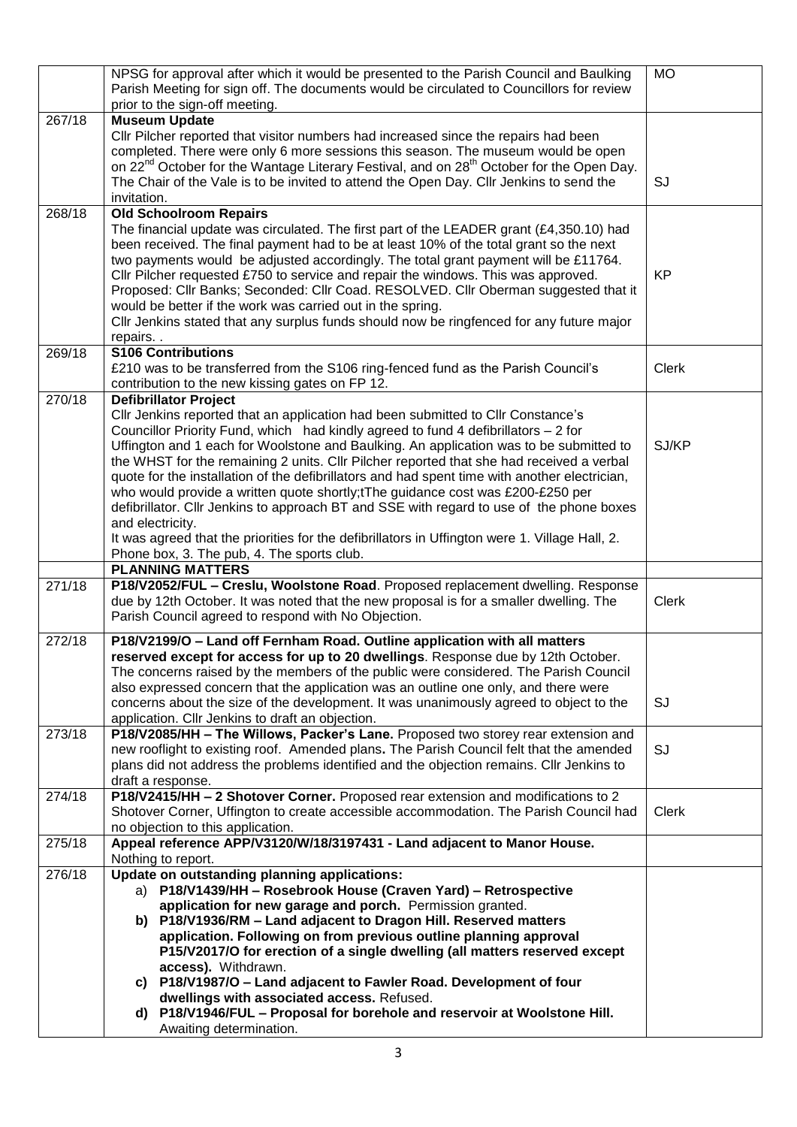|        | NPSG for approval after which it would be presented to the Parish Council and Baulking<br>Parish Meeting for sign off. The documents would be circulated to Councillors for review<br>prior to the sign-off meeting.                                                                                                                                            | <b>MO</b>    |
|--------|-----------------------------------------------------------------------------------------------------------------------------------------------------------------------------------------------------------------------------------------------------------------------------------------------------------------------------------------------------------------|--------------|
| 267/18 | <b>Museum Update</b>                                                                                                                                                                                                                                                                                                                                            |              |
|        | Cllr Pilcher reported that visitor numbers had increased since the repairs had been<br>completed. There were only 6 more sessions this season. The museum would be open<br>on 22 <sup>nd</sup> October for the Wantage Literary Festival, and on 28 <sup>th</sup> October for the Open Day.                                                                     |              |
|        | The Chair of the Vale is to be invited to attend the Open Day. Cllr Jenkins to send the<br>invitation.                                                                                                                                                                                                                                                          | SJ           |
| 268/18 | <b>Old Schoolroom Repairs</b>                                                                                                                                                                                                                                                                                                                                   |              |
|        | The financial update was circulated. The first part of the LEADER grant $(E4,350.10)$ had<br>been received. The final payment had to be at least 10% of the total grant so the next<br>two payments would be adjusted accordingly. The total grant payment will be £11764.<br>Cllr Pilcher requested £750 to service and repair the windows. This was approved. | <b>KP</b>    |
|        | Proposed: Cllr Banks; Seconded: Cllr Coad. RESOLVED. Cllr Oberman suggested that it<br>would be better if the work was carried out in the spring.<br>Cllr Jenkins stated that any surplus funds should now be ringfenced for any future major<br>repairs                                                                                                        |              |
| 269/18 | <b>S106 Contributions</b>                                                                                                                                                                                                                                                                                                                                       |              |
|        | £210 was to be transferred from the S106 ring-fenced fund as the Parish Council's<br>contribution to the new kissing gates on FP 12.                                                                                                                                                                                                                            | <b>Clerk</b> |
| 270/18 | <b>Defibrillator Project</b>                                                                                                                                                                                                                                                                                                                                    |              |
|        | Cllr Jenkins reported that an application had been submitted to Cllr Constance's<br>Councillor Priority Fund, which had kindly agreed to fund 4 defibrillators - 2 for<br>Uffington and 1 each for Woolstone and Baulking. An application was to be submitted to<br>the WHST for the remaining 2 units. Cllr Pilcher reported that she had received a verbal    | SJ/KP        |
|        | quote for the installation of the defibrillators and had spent time with another electrician,<br>who would provide a written quote shortly;tThe guidance cost was £200-£250 per                                                                                                                                                                                 |              |
|        | defibrillator. Cllr Jenkins to approach BT and SSE with regard to use of the phone boxes                                                                                                                                                                                                                                                                        |              |
|        | and electricity.<br>It was agreed that the priorities for the defibrillators in Uffington were 1. Village Hall, 2.                                                                                                                                                                                                                                              |              |
|        | Phone box, 3. The pub, 4. The sports club.                                                                                                                                                                                                                                                                                                                      |              |
|        | <b>PLANNING MATTERS</b>                                                                                                                                                                                                                                                                                                                                         |              |
| 271/18 | P18/V2052/FUL - Creslu, Woolstone Road. Proposed replacement dwelling. Response                                                                                                                                                                                                                                                                                 |              |
|        | due by 12th October. It was noted that the new proposal is for a smaller dwelling. The<br>Parish Council agreed to respond with No Objection.                                                                                                                                                                                                                   | <b>Clerk</b> |
| 272/18 | P18/V2199/O - Land off Fernham Road. Outline application with all matters                                                                                                                                                                                                                                                                                       |              |
|        | reserved except for access for up to 20 dwellings. Response due by 12th October.<br>The concerns raised by the members of the public were considered. The Parish Council<br>also expressed concern that the application was an outline one only, and there were                                                                                                 |              |
|        | concerns about the size of the development. It was unanimously agreed to object to the<br>application. Cllr Jenkins to draft an objection.                                                                                                                                                                                                                      | SJ           |
| 273/18 | P18/V2085/HH - The Willows, Packer's Lane. Proposed two storey rear extension and                                                                                                                                                                                                                                                                               |              |
|        | new rooflight to existing roof. Amended plans. The Parish Council felt that the amended                                                                                                                                                                                                                                                                         | SJ           |
|        | plans did not address the problems identified and the objection remains. Cllr Jenkins to                                                                                                                                                                                                                                                                        |              |
|        | draft a response.                                                                                                                                                                                                                                                                                                                                               |              |
| 274/18 | P18/V2415/HH - 2 Shotover Corner. Proposed rear extension and modifications to 2<br>Shotover Corner, Uffington to create accessible accommodation. The Parish Council had                                                                                                                                                                                       | <b>Clerk</b> |
|        | no objection to this application.                                                                                                                                                                                                                                                                                                                               |              |
| 275/18 | Appeal reference APP/V3120/W/18/3197431 - Land adjacent to Manor House.                                                                                                                                                                                                                                                                                         |              |
|        | Nothing to report.                                                                                                                                                                                                                                                                                                                                              |              |
| 276/18 | Update on outstanding planning applications:<br>a) P18/V1439/HH - Rosebrook House (Craven Yard) - Retrospective                                                                                                                                                                                                                                                 |              |
|        | application for new garage and porch. Permission granted.                                                                                                                                                                                                                                                                                                       |              |
|        | b) P18/V1936/RM - Land adjacent to Dragon Hill. Reserved matters                                                                                                                                                                                                                                                                                                |              |
|        | application. Following on from previous outline planning approval                                                                                                                                                                                                                                                                                               |              |
|        | P15/V2017/O for erection of a single dwelling (all matters reserved except<br>access). Withdrawn.                                                                                                                                                                                                                                                               |              |
|        | c) P18/V1987/O - Land adjacent to Fawler Road. Development of four                                                                                                                                                                                                                                                                                              |              |
|        | dwellings with associated access. Refused.                                                                                                                                                                                                                                                                                                                      |              |
|        | P18/V1946/FUL - Proposal for borehole and reservoir at Woolstone Hill.<br>d)                                                                                                                                                                                                                                                                                    |              |
|        | Awaiting determination.                                                                                                                                                                                                                                                                                                                                         |              |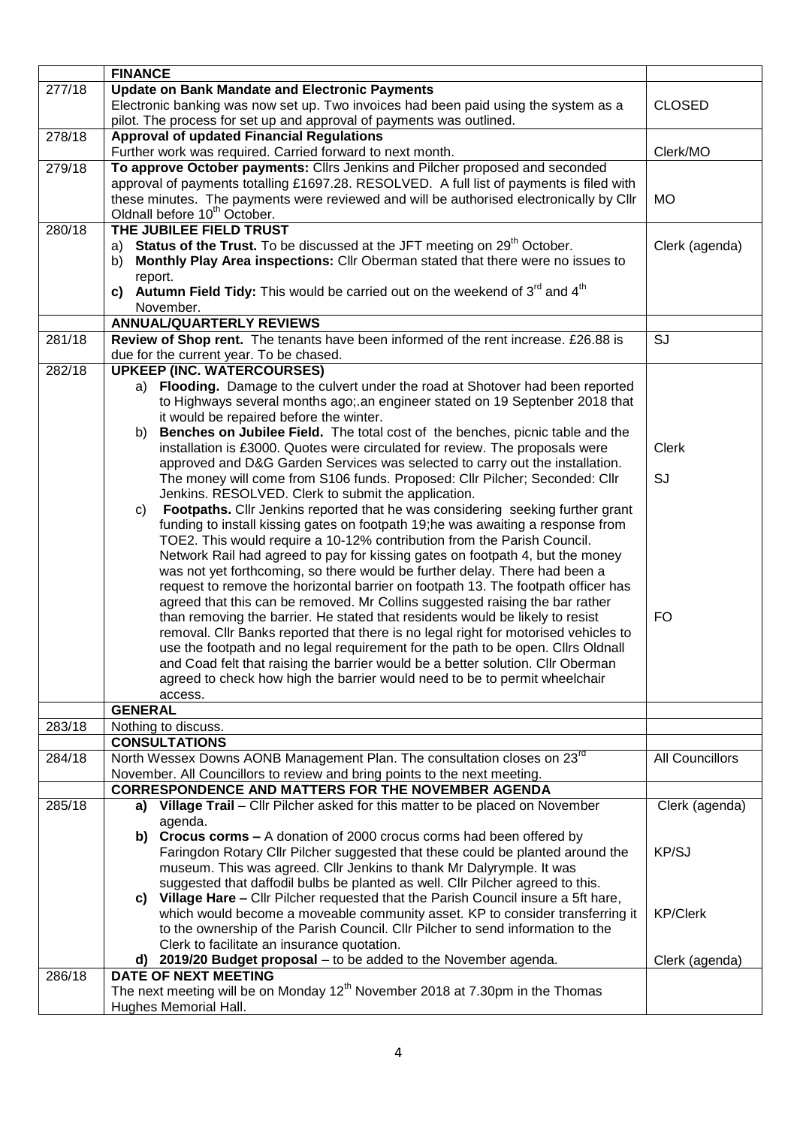|        | <b>FINANCE</b>                                                                             |                        |
|--------|--------------------------------------------------------------------------------------------|------------------------|
| 277/18 | <b>Update on Bank Mandate and Electronic Payments</b>                                      |                        |
|        | Electronic banking was now set up. Two invoices had been paid using the system as a        | <b>CLOSED</b>          |
|        | pilot. The process for set up and approval of payments was outlined.                       |                        |
| 278/18 | <b>Approval of updated Financial Regulations</b>                                           |                        |
|        |                                                                                            |                        |
|        | Further work was required. Carried forward to next month.                                  | Clerk/MO               |
| 279/18 | To approve October payments: Cllrs Jenkins and Pilcher proposed and seconded               |                        |
|        | approval of payments totalling £1697.28. RESOLVED. A full list of payments is filed with   |                        |
|        | these minutes. The payments were reviewed and will be authorised electronically by Cllr    | <b>MO</b>              |
|        | Oldnall before 10 <sup>th</sup> October.                                                   |                        |
| 280/18 | THE JUBILEE FIELD TRUST                                                                    |                        |
|        |                                                                                            |                        |
|        | Status of the Trust. To be discussed at the JFT meeting on 29 <sup>th</sup> October.<br>a) | Clerk (agenda)         |
|        | Monthly Play Area inspections: Cllr Oberman stated that there were no issues to<br>b)      |                        |
|        | report.                                                                                    |                        |
|        | c) Autumn Field Tidy: This would be carried out on the weekend of $3^{rd}$ and $4^{th}$    |                        |
|        | November.                                                                                  |                        |
|        | <b>ANNUAL/QUARTERLY REVIEWS</b>                                                            |                        |
| 281/18 |                                                                                            | SJ                     |
|        | Review of Shop rent. The tenants have been informed of the rent increase. £26.88 is        |                        |
|        | due for the current year. To be chased.                                                    |                        |
| 282/18 | <b>UPKEEP (INC. WATERCOURSES)</b>                                                          |                        |
|        | a) Flooding. Damage to the culvert under the road at Shotover had been reported            |                        |
|        | to Highways several months ago; an engineer stated on 19 Septenber 2018 that               |                        |
|        | it would be repaired before the winter.                                                    |                        |
|        | Benches on Jubilee Field. The total cost of the benches, picnic table and the<br>b)        |                        |
|        |                                                                                            |                        |
|        | installation is £3000. Quotes were circulated for review. The proposals were               | <b>Clerk</b>           |
|        | approved and D&G Garden Services was selected to carry out the installation.               |                        |
|        | The money will come from S106 funds. Proposed: Cllr Pilcher; Seconded: Cllr                | SJ                     |
|        | Jenkins. RESOLVED. Clerk to submit the application.                                        |                        |
|        | Footpaths. Cllr Jenkins reported that he was considering seeking further grant<br>C)       |                        |
|        | funding to install kissing gates on footpath 19; he was awaiting a response from           |                        |
|        |                                                                                            |                        |
|        | TOE2. This would require a 10-12% contribution from the Parish Council.                    |                        |
|        | Network Rail had agreed to pay for kissing gates on footpath 4, but the money              |                        |
|        | was not yet forthcoming, so there would be further delay. There had been a                 |                        |
|        | request to remove the horizontal barrier on footpath 13. The footpath officer has          |                        |
|        | agreed that this can be removed. Mr Collins suggested raising the bar rather               |                        |
|        | than removing the barrier. He stated that residents would be likely to resist              | <b>FO</b>              |
|        |                                                                                            |                        |
|        | removal. Cllr Banks reported that there is no legal right for motorised vehicles to        |                        |
|        | use the footpath and no legal requirement for the path to be open. Clirs Oldnall           |                        |
|        | and Coad felt that raising the barrier would be a better solution. Cllr Oberman            |                        |
|        | agreed to check how high the barrier would need to be to permit wheelchair                 |                        |
|        | access.                                                                                    |                        |
|        | <b>GENERAL</b>                                                                             |                        |
| 283/18 |                                                                                            |                        |
|        | Nothing to discuss.                                                                        |                        |
|        | <b>CONSULTATIONS</b>                                                                       |                        |
| 284/18 | North Wessex Downs AONB Management Plan. The consultation closes on 23rd                   | <b>All Councillors</b> |
|        | November. All Councillors to review and bring points to the next meeting.                  |                        |
|        | <b>CORRESPONDENCE AND MATTERS FOR THE NOVEMBER AGENDA</b>                                  |                        |
| 285/18 | a) Village Trail - Cllr Pilcher asked for this matter to be placed on November             | Clerk (agenda)         |
|        |                                                                                            |                        |
|        | agenda.                                                                                    |                        |
|        | b) Crocus corms - A donation of 2000 crocus corms had been offered by                      |                        |
|        | Faringdon Rotary Cllr Pilcher suggested that these could be planted around the             | <b>KP/SJ</b>           |
|        | museum. This was agreed. Cllr Jenkins to thank Mr Dalyrymple. It was                       |                        |
|        | suggested that daffodil bulbs be planted as well. Cllr Pilcher agreed to this.             |                        |
|        | Village Hare - Cllr Pilcher requested that the Parish Council insure a 5ft hare,<br>C)     |                        |
|        |                                                                                            | <b>KP/Clerk</b>        |
|        | which would become a moveable community asset. KP to consider transferring it              |                        |
|        | to the ownership of the Parish Council. Cllr Pilcher to send information to the            |                        |
|        | Clerk to facilitate an insurance quotation.                                                |                        |
|        | d) 2019/20 Budget proposal - to be added to the November agenda.                           | Clerk (agenda)         |
| 286/18 | <b>DATE OF NEXT MEETING</b>                                                                |                        |
|        | The next meeting will be on Monday 12 <sup>th</sup> November 2018 at 7.30pm in the Thomas  |                        |
|        |                                                                                            |                        |
|        | Hughes Memorial Hall.                                                                      |                        |